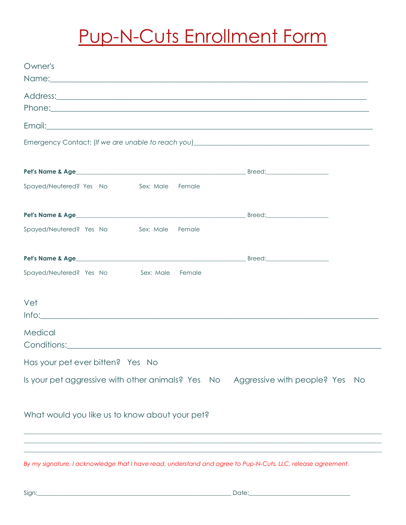## **Pup-N-Cuts Enrollment Form**

| Owner's                                                                                                                                                                                                                                                                                                                                                                                                           |                                     |
|-------------------------------------------------------------------------------------------------------------------------------------------------------------------------------------------------------------------------------------------------------------------------------------------------------------------------------------------------------------------------------------------------------------------|-------------------------------------|
| Name: Name and the second contract of the second contract of the second contract of the second contract of the second contract of the second contract of the second contract of the second contract of the second contract of                                                                                                                                                                                     |                                     |
|                                                                                                                                                                                                                                                                                                                                                                                                                   |                                     |
|                                                                                                                                                                                                                                                                                                                                                                                                                   |                                     |
|                                                                                                                                                                                                                                                                                                                                                                                                                   |                                     |
|                                                                                                                                                                                                                                                                                                                                                                                                                   |                                     |
|                                                                                                                                                                                                                                                                                                                                                                                                                   |                                     |
|                                                                                                                                                                                                                                                                                                                                                                                                                   |                                     |
|                                                                                                                                                                                                                                                                                                                                                                                                                   |                                     |
| Spayed/Neutered? Yes No Sex: Male<br>Female                                                                                                                                                                                                                                                                                                                                                                       |                                     |
|                                                                                                                                                                                                                                                                                                                                                                                                                   |                                     |
|                                                                                                                                                                                                                                                                                                                                                                                                                   |                                     |
|                                                                                                                                                                                                                                                                                                                                                                                                                   |                                     |
| Spayed/Neutered? Yes No<br>Sex: Male<br>Female                                                                                                                                                                                                                                                                                                                                                                    |                                     |
|                                                                                                                                                                                                                                                                                                                                                                                                                   |                                     |
|                                                                                                                                                                                                                                                                                                                                                                                                                   |                                     |
| Spayed/Neutered? Yes No Sex: Male Female                                                                                                                                                                                                                                                                                                                                                                          |                                     |
|                                                                                                                                                                                                                                                                                                                                                                                                                   |                                     |
| Vet                                                                                                                                                                                                                                                                                                                                                                                                               |                                     |
| $Info: \begin{tabular}{ l l } \hline \hline \multicolumn{3}{ l }{l } \hline \multicolumn{3}{ l }{l } \multicolumn{3}{ l }{l } \multicolumn{3}{ l }{l } \multicolumn{3}{ l }{l } \multicolumn{3}{ l }{l } \multicolumn{3}{ l }{l } \multicolumn{3}{ l }{l } \multicolumn{3}{ l }{l } \multicolumn{3}{ l }{l } \multicolumn{3}{ l }{l } \multicolumn{3}{ l }{l } \multicolumn{3}{ l }{l } \multicolumn{3}{ l }{l }$ |                                     |
|                                                                                                                                                                                                                                                                                                                                                                                                                   |                                     |
| Medical                                                                                                                                                                                                                                                                                                                                                                                                           |                                     |
|                                                                                                                                                                                                                                                                                                                                                                                                                   |                                     |
| Has your pet ever bitten? Yes No                                                                                                                                                                                                                                                                                                                                                                                  |                                     |
| Is your pet aggressive with other animals? Yes No                                                                                                                                                                                                                                                                                                                                                                 | Aggressive with people? Yes<br>- No |
|                                                                                                                                                                                                                                                                                                                                                                                                                   |                                     |
|                                                                                                                                                                                                                                                                                                                                                                                                                   |                                     |
| What would you like us to know about your pet?                                                                                                                                                                                                                                                                                                                                                                    |                                     |
|                                                                                                                                                                                                                                                                                                                                                                                                                   |                                     |
|                                                                                                                                                                                                                                                                                                                                                                                                                   |                                     |

By my signature, I acknowledge that I have read, understand and agree to Pup-N-Cuts, LLC, release agreement.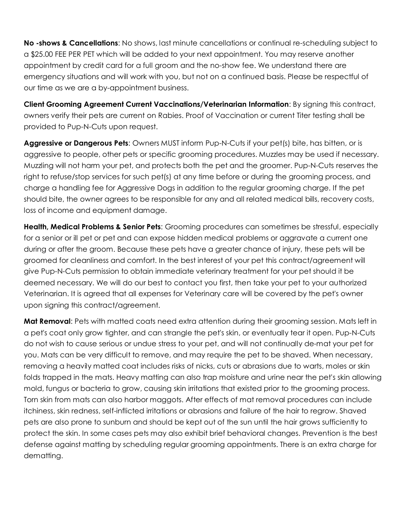**No -shows & Cancellations**: No shows, last minute cancellations or continual re-scheduling subject to a \$25.00 FEE PER PET which will be added to your next appointment. You may reserve another appointment by credit card for a full groom and the no-show fee. We understand there are emergency situations and will work with you, but not on a continued basis. Please be respectful of our time as we are a by-appointment business.

**Client Grooming Agreement Current Vaccinations/Veterinarian Information**: By signing this contract, owners verify their pets are current on Rabies. Proof of Vaccination or current Titer testing shall be provided to Pup-N-Cuts upon request.

**Aggressive or Dangerous Pets**: Owners MUST inform Pup-N-Cuts if your pet(s) bite, has bitten, or is aggressive to people, other pets or specific grooming procedures. Muzzles may be used if necessary. Muzzling will not harm your pet, and protects both the pet and the groomer. Pup-N-Cuts reserves the right to refuse/stop services for such pet(s) at any time before or during the grooming process, and charge a handling fee for Aggressive Dogs in addition to the regular grooming charge. If the pet should bite, the owner agrees to be responsible for any and all related medical bills, recovery costs, loss of income and equipment damage.

**Health, Medical Problems & Senior Pets**: Grooming procedures can sometimes be stressful, especially for a senior or ill pet or pet and can expose hidden medical problems or aggravate a current one during or after the groom. Because these pets have a greater chance of injury, these pets will be groomed for cleanliness and comfort. In the best interest of your pet this contract/agreement will give Pup-N-Cuts permission to obtain immediate veterinary treatment for your pet should it be deemed necessary. We will do our best to contact you first, then take your pet to your authorized Veterinarian. It is agreed that all expenses for Veterinary care will be covered by the pet's owner upon signing this contract/agreement.

**Mat Removal**: Pets with matted coats need extra attention during their grooming session. Mats left in a pet's coat only grow tighter, and can strangle the pet's skin, or eventually tear it open. Pup-N-Cuts do not wish to cause serious or undue stress to your pet, and will not continually de-mat your pet for you. Mats can be very difficult to remove, and may require the pet to be shaved. When necessary, removing a heavily matted coat includes risks of nicks, cuts or abrasions due to warts, moles or skin folds trapped in the mats. Heavy matting can also trap moisture and urine near the pet's skin allowing mold, fungus or bacteria to grow, causing skin irritations that existed prior to the grooming process. Torn skin from mats can also harbor maggots. After effects of mat removal procedures can include itchiness, skin redness, self-inflicted irritations or abrasions and failure of the hair to regrow. Shaved pets are also prone to sunburn and should be kept out of the sun until the hair grows sufficiently to protect the skin. In some cases pets may also exhibit brief behavioral changes. Prevention is the best defense against matting by scheduling regular grooming appointments. There is an extra charge for dematting.